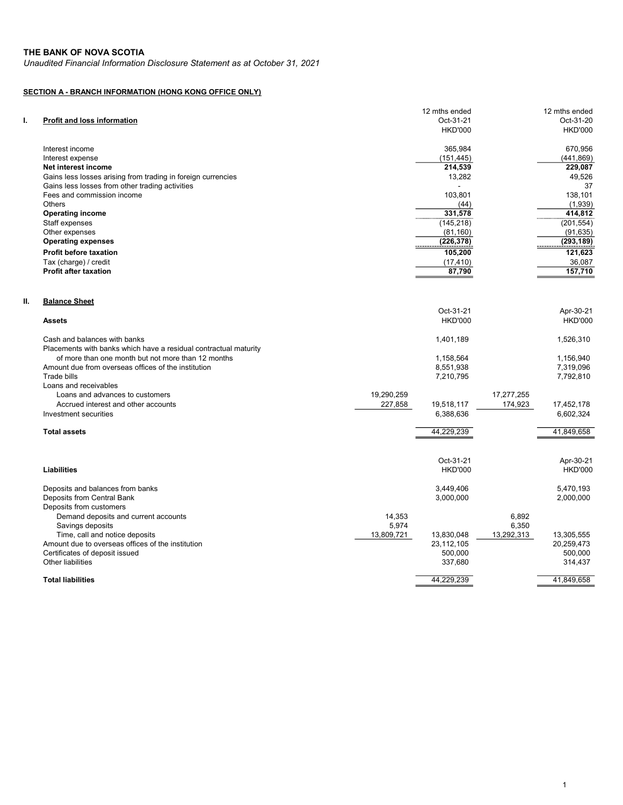Unaudited Financial Information Disclosure Statement as at October 31, 2021

## SECTION A - BRANCH INFORMATION (HONG KONG OFFICE ONLY)

| ı. | Profit and loss information                                      |                     | 12 mths ended<br>Oct-31-21 |                     | 12 mths ended<br>Oct-31-20 |
|----|------------------------------------------------------------------|---------------------|----------------------------|---------------------|----------------------------|
|    |                                                                  |                     | <b>HKD'000</b>             |                     | <b>HKD'000</b>             |
|    | Interest income                                                  |                     | 365,984                    |                     | 670,956                    |
|    | Interest expense                                                 |                     | (151, 445)                 |                     | (441, 869)                 |
|    | Net interest income                                              |                     | 214,539                    |                     | 229,087                    |
|    | Gains less losses arising from trading in foreign currencies     |                     | 13,282                     |                     | 49,526                     |
|    | Gains less losses from other trading activities                  |                     |                            |                     | 37                         |
|    | Fees and commission income                                       |                     | 103,801                    |                     | 138,101                    |
|    | <b>Others</b>                                                    |                     | (44)                       |                     | (1,939)                    |
|    | <b>Operating income</b>                                          |                     | 331,578                    |                     | 414,812                    |
|    | Staff expenses<br>Other expenses                                 |                     | (145, 218)<br>(81, 160)    |                     | (201, 554)<br>(91, 635)    |
|    | <b>Operating expenses</b>                                        |                     | (226, 378)                 |                     | (293, 189)                 |
|    |                                                                  |                     |                            |                     |                            |
|    | Profit before taxation                                           |                     | 105,200                    |                     | 121,623                    |
|    | Tax (charge) / credit<br><b>Profit after taxation</b>            |                     | (17, 410)<br>87,790        |                     | 36,087<br>157,710          |
|    |                                                                  |                     |                            |                     |                            |
| Ш. | <b>Balance Sheet</b>                                             |                     |                            |                     |                            |
|    |                                                                  |                     | Oct-31-21                  |                     | Apr-30-21                  |
|    | <b>Assets</b>                                                    |                     | <b>HKD'000</b>             |                     | <b>HKD'000</b>             |
|    | Cash and balances with banks                                     |                     | 1,401,189                  |                     | 1,526,310                  |
|    | Placements with banks which have a residual contractual maturity |                     |                            |                     |                            |
|    | of more than one month but not more than 12 months               |                     | 1,158,564                  |                     | 1,156,940                  |
|    | Amount due from overseas offices of the institution              |                     | 8,551,938                  |                     | 7,319,096                  |
|    | Trade bills                                                      |                     | 7,210,795                  |                     | 7,792,810                  |
|    | Loans and receivables                                            |                     |                            |                     |                            |
|    | Loans and advances to customers                                  | 19,290,259          |                            | 17,277,255          |                            |
|    | Accrued interest and other accounts                              | 227,858             | 19,518,117                 | 174,923             | 17,452,178                 |
|    | Investment securities                                            |                     | 6,388,636                  |                     | 6,602,324                  |
|    | <b>Total assets</b>                                              |                     | 44,229,239                 |                     | 41,849,658                 |
|    |                                                                  |                     |                            |                     |                            |
|    |                                                                  |                     | Oct-31-21                  |                     | Apr-30-21                  |
|    | Liabilities                                                      |                     | <b>HKD'000</b>             |                     | <b>HKD'000</b>             |
|    | Deposits and balances from banks                                 |                     | 3,449,406                  |                     | 5,470,193                  |
|    | Deposits from Central Bank                                       |                     | 3,000,000                  |                     | 2,000,000                  |
|    | Deposits from customers                                          |                     |                            |                     |                            |
|    | Demand deposits and current accounts                             | 14,353              |                            | 6,892               |                            |
|    | Savings deposits<br>Time, call and notice deposits               | 5,974<br>13,809,721 | 13,830,048                 | 6,350<br>13,292,313 | 13,305,555                 |
|    | Amount due to overseas offices of the institution                |                     | 23,112,105                 |                     | 20,259,473                 |
|    | Certificates of deposit issued                                   |                     | 500,000                    |                     | 500,000                    |
|    | <b>Other liabilities</b>                                         |                     | 337,680                    |                     | 314,437                    |
|    |                                                                  |                     |                            |                     |                            |
|    | <b>Total liabilities</b>                                         |                     | 44,229,239                 |                     | 41,849,658                 |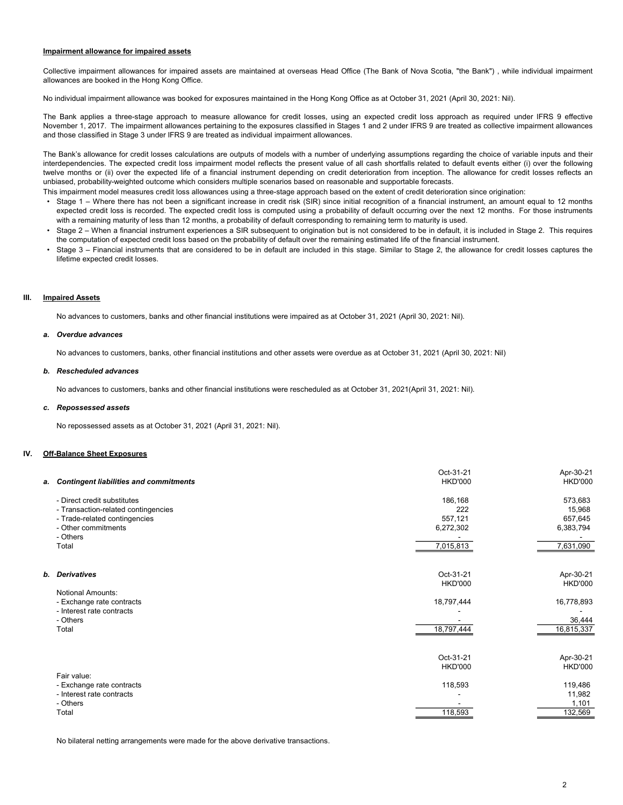### Impairment allowance for impaired assets

Collective impairment allowances for impaired assets are maintained at overseas Head Office (The Bank of Nova Scotia, "the Bank") , while individual impairment allowances are booked in the Hong Kong Office.

No individual impairment allowance was booked for exposures maintained in the Hong Kong Office as at October 31, 2021 (April 30, 2021: Nil).

The Bank applies a three-stage approach to measure allowance for credit losses, using an expected credit loss approach as required under IFRS 9 effective November 1, 2017. The impairment allowances pertaining to the exposures classified in Stages 1 and 2 under IFRS 9 are treated as collective impairment allowances and those classified in Stage 3 under IFRS 9 are treated as individual impairment allowances.

The Bank's allowance for credit losses calculations are outputs of models with a number of underlying assumptions regarding the choice of variable inputs and their interdependencies. The expected credit loss impairment model reflects the present value of all cash shortfalls related to default events either (i) over the following twelve months or (ii) over the expected life of a financial instrument depending on credit deterioration from inception. The allowance for credit losses reflects an unbiased, probability-weighted outcome which considers multiple scenarios based on reasonable and supportable forecasts.

This impairment model measures credit loss allowances using a three-stage approach based on the extent of credit deterioration since origination:

- Stage 1 Where there has not been a significant increase in credit risk (SIR) since initial recognition of a financial instrument, an amount equal to 12 months expected credit loss is recorded. The expected credit loss is computed using a probability of default occurring over the next 12 months. For those instruments with a remaining maturity of less than 12 months, a probability of default corresponding to remaining term to maturity is used.
- Stage 2 When a financial instrument experiences a SIR subsequent to origination but is not considered to be in default, it is included in Stage 2. This requires the computation of expected credit loss based on the probability of default over the remaining estimated life of the financial instrument.
- Stage 3 – Financial instruments that are considered to be in default are included in this stage. Similar to Stage 2, the allowance for credit losses captures the lifetime expected credit losses.

### III. **Impaired Assets**

No advances to customers, banks and other financial institutions were impaired as at October 31, 2021 (April 30, 2021: Nil).

#### a. Overdue advances

No advances to customers, banks, other financial institutions and other assets were overdue as at October 31, 2021 (April 30, 2021: Nil)

#### b. Rescheduled advances

No advances to customers, banks and other financial institutions were rescheduled as at October 31, 2021(April 31, 2021: Nil).

#### c. Repossessed assets

No repossessed assets as at October 31, 2021 (April 31, 2021: Nil).

### IV. Off-Balance Sheet Exposures

|                          | a. Contingent liabilities and commitments | Oct-31-21<br><b>HKD'000</b> | Apr-30-21<br><b>HKD'000</b> |
|--------------------------|-------------------------------------------|-----------------------------|-----------------------------|
|                          | - Direct credit substitutes               | 186,168                     | 573,683                     |
|                          | - Transaction-related contingencies       | 222                         | 15,968                      |
|                          | - Trade-related contingencies             | 557,121                     | 657,645                     |
| - Other commitments      |                                           | 6,272,302                   | 6,383,794                   |
| - Others                 |                                           |                             |                             |
| Total                    |                                           | 7,015,813                   | 7,631,090                   |
|                          |                                           |                             |                             |
| b. Derivatives           |                                           | Oct-31-21                   | Apr-30-21                   |
|                          |                                           | <b>HKD'000</b>              | <b>HKD'000</b>              |
| <b>Notional Amounts:</b> |                                           |                             |                             |
|                          | - Exchange rate contracts                 | 18,797,444                  | 16,778,893                  |
|                          | - Interest rate contracts                 |                             |                             |
| - Others                 |                                           |                             | 36,444                      |
| Total                    |                                           | 18,797,444                  | 16,815,337                  |
|                          |                                           |                             |                             |
|                          |                                           | Oct-31-21                   | Apr-30-21                   |
|                          |                                           | <b>HKD'000</b>              | <b>HKD'000</b>              |
| Fair value:              |                                           |                             |                             |
|                          | - Exchange rate contracts                 | 118,593                     | 119,486                     |
|                          | - Interest rate contracts                 |                             | 11,982                      |
| - Others                 |                                           |                             | 1,101                       |
| Total                    |                                           | 118,593                     | 132,569                     |
|                          |                                           |                             |                             |

No bilateral netting arrangements were made for the above derivative transactions.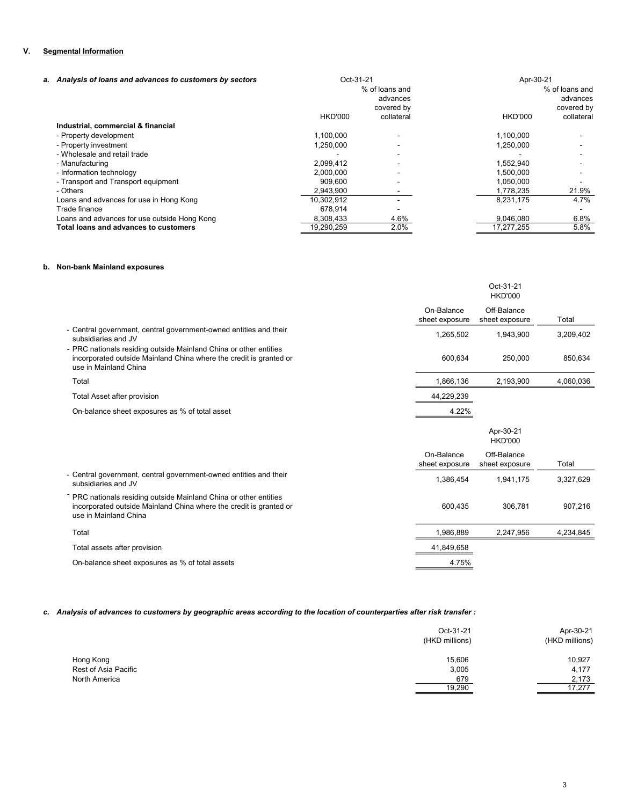## V. Segmental Information

| a. Analysis of loans and advances to customers by sectors | Oct-31-21      |                                          | Apr-30-21      |                                          |
|-----------------------------------------------------------|----------------|------------------------------------------|----------------|------------------------------------------|
|                                                           |                | % of loans and<br>advances<br>covered by |                | % of loans and<br>advances<br>covered by |
|                                                           | <b>HKD'000</b> | collateral                               | <b>HKD'000</b> | collateral                               |
| Industrial, commercial & financial                        |                |                                          |                |                                          |
| - Property development                                    | 1.100.000      |                                          | 1,100,000      |                                          |
| - Property investment                                     | 1,250,000      |                                          | 1,250,000      |                                          |
| - Wholesale and retail trade                              |                |                                          |                |                                          |
| - Manufacturing                                           | 2.099.412      |                                          | 1,552,940      |                                          |
| - Information technology                                  | 2,000,000      |                                          | 1,500,000      |                                          |
| - Transport and Transport equipment                       | 909.600        |                                          | 1,050,000      |                                          |
| - Others                                                  | 2,943,900      |                                          | 1,778,235      | 21.9%                                    |
| Loans and advances for use in Hong Kong                   | 10,302,912     |                                          | 8.231.175      | 4.7%                                     |
| Trade finance                                             | 678.914        |                                          |                |                                          |
| Loans and advances for use outside Hong Kong              | 8,308,433      | 4.6%                                     | 9,046,080      | 6.8%                                     |
| Total loans and advances to customers                     | 19,290,259     | 2.0%                                     | 17,277,255     | 5.8%                                     |

## b. Non-bank Mainland exposures

|                                                                                                                                                                  |                              | Oct-31-21<br><b>HKD'000</b>   |           |
|------------------------------------------------------------------------------------------------------------------------------------------------------------------|------------------------------|-------------------------------|-----------|
|                                                                                                                                                                  | On-Balance<br>sheet exposure | Off-Balance<br>sheet exposure | Total     |
| - Central government, central government-owned entities and their<br>subsidiaries and JV                                                                         | 1,265,502                    | 1,943,900                     | 3,209,402 |
| - PRC nationals residing outside Mainland China or other entities<br>incorporated outside Mainland China where the credit is granted or<br>use in Mainland China | 600.634                      | 250,000                       | 850,634   |
| Total                                                                                                                                                            | 1,866,136                    | 2,193,900                     | 4,060,036 |
| Total Asset after provision                                                                                                                                      | 44,229,239                   |                               |           |
| On-balance sheet exposures as % of total asset                                                                                                                   | 4.22%                        |                               |           |
|                                                                                                                                                                  |                              |                               |           |
|                                                                                                                                                                  |                              | Apr-30-21<br><b>HKD'000</b>   |           |
|                                                                                                                                                                  | On-Balance<br>sheet exposure | Off-Balance<br>sheet exposure | Total     |
| - Central government, central government-owned entities and their<br>subsidiaries and JV                                                                         | 1,386,454                    | 1,941,175                     | 3,327,629 |
| - PRC nationals residing outside Mainland China or other entities<br>incorporated outside Mainland China where the credit is granted or<br>use in Mainland China | 600,435                      | 306,781                       | 907,216   |
| Total                                                                                                                                                            | 1,986,889                    | 2,247,956                     | 4,234,845 |
| Total assets after provision                                                                                                                                     | 41,849,658                   |                               |           |

# c. Analysis of advances to customers by geographic areas according to the location of counterparties after risk transfer :

|                      | Oct-31-21<br>(HKD millions) | Apr-30-21<br>(HKD millions) |
|----------------------|-----------------------------|-----------------------------|
| Hong Kong            | 15,606                      | 10,927                      |
| Rest of Asia Pacific | 3,005                       | 4,177                       |
| North America        | 679                         | 2.173                       |
|                      | 19,290                      | 17.277                      |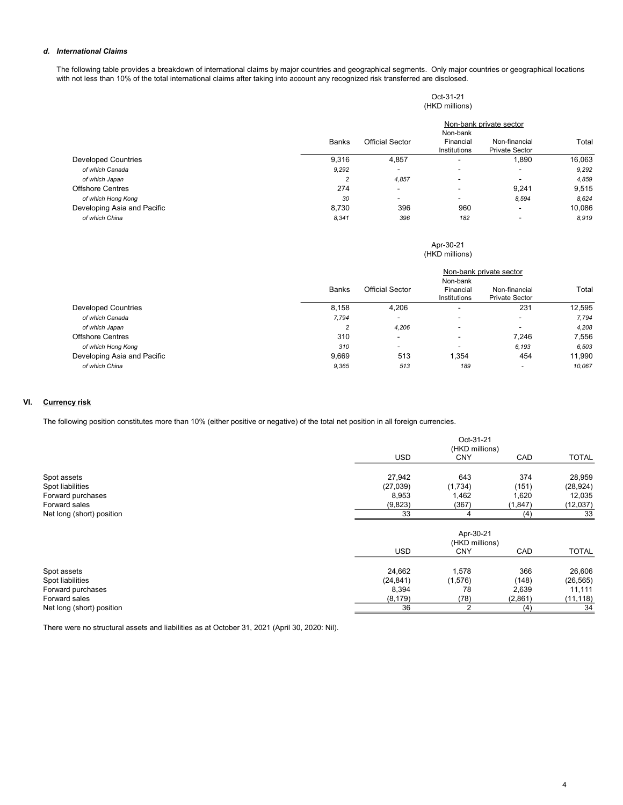## d. International Claims

The following table provides a breakdown of international claims by major countries and geographical segments. Only major countries or geographical locations with not less than 10% of the total international claims after taking into account any recognized risk transferred are disclosed.

|                             |                |                        | Oct-31-21<br>(HKD millions) |                                        |        |
|-----------------------------|----------------|------------------------|-----------------------------|----------------------------------------|--------|
|                             |                |                        | Non-bank                    | Non-bank private sector                |        |
|                             | <b>Banks</b>   | <b>Official Sector</b> | Financial<br>Institutions   | Non-financial<br><b>Private Sector</b> | Total  |
| <b>Developed Countries</b>  | 9,316          | 4,857                  | ۰                           | 1,890                                  | 16,063 |
| of which Canada             | 9,292          | ۰                      | -                           | $\blacksquare$                         | 9,292  |
| of which Japan              | $\overline{2}$ | 4,857                  | ۰                           | $\overline{\phantom{0}}$               | 4,859  |
| <b>Offshore Centres</b>     | 274            | $\blacksquare$         | ۰                           | 9,241                                  | 9,515  |
| of which Hong Kong          | 30             |                        | -                           | 8,594                                  | 8,624  |
| Developing Asia and Pacific | 8,730          | 396                    | 960                         | $\overline{\phantom{a}}$               | 10,086 |
| of which China              | 8,341          | 396                    | 182                         | $\overline{\phantom{a}}$               | 8,919  |

### (HKD millions) Apr-30-21

|                             |                |                          | Non-bank                  | Non-bank private sector                |        |
|-----------------------------|----------------|--------------------------|---------------------------|----------------------------------------|--------|
|                             | Banks          | Official Sector          | Financial<br>Institutions | Non-financial<br><b>Private Sector</b> | Total  |
| <b>Developed Countries</b>  | 8.158          | 4,206                    | ۰                         | 231                                    | 12,595 |
| of which Canada             | 7,794          | ۰                        | $\overline{\phantom{a}}$  | $\overline{\phantom{0}}$               | 7,794  |
| of which Japan              | $\overline{c}$ | 4,206                    | ۰                         |                                        | 4.208  |
| <b>Offshore Centres</b>     | 310            | $\overline{\phantom{0}}$ | $\overline{\phantom{a}}$  | 7.246                                  | 7,556  |
| of which Hong Kong          | 310            | $\overline{\phantom{a}}$ | $\overline{\phantom{a}}$  | 6.193                                  | 6,503  |
| Developing Asia and Pacific | 9.669          | 513                      | 1.354                     | 454                                    | 11,990 |
| of which China              | 9,365          | 513                      | 189                       | $\overline{\phantom{a}}$               | 10,067 |

## VI. Currency risk

The following position constitutes more than 10% (either positive or negative) of the total net position in all foreign currencies.

|                           |            | Oct-31-21<br>(HKD millions) |          |              |
|---------------------------|------------|-----------------------------|----------|--------------|
|                           | <b>USD</b> | <b>CNY</b>                  | CAD      | <b>TOTAL</b> |
| Spot assets               | 27,942     | 643                         | 374      | 28,959       |
| Spot liabilities          | (27, 039)  | (1,734)                     | (151)    | (28, 924)    |
| Forward purchases         | 8,953      | 1,462                       | 1,620    | 12,035       |
| Forward sales             | (9,823)    | (367)                       | (1, 847) | (12, 037)    |
| Net long (short) position | 33         | 4                           | (4)      | 33           |
|                           |            | Apr-30-21<br>(HKD millions) |          |              |
|                           | <b>USD</b> | <b>CNY</b>                  | CAD      | <b>TOTAL</b> |
| Spot assets               | 24,662     | 1,578                       | 366      | 26,606       |
| Spot liabilities          | (24, 841)  | (1, 576)                    | (148)    | (26, 565)    |
| Forward purchases         | 8,394      | 78                          | 2,639    | 11,111       |
| Forward sales             | (8, 179)   | (78)                        | (2,861)  | (11, 118)    |
| Net long (short) position | 36         | $\overline{2}$              | (4)      | 34           |

There were no structural assets and liabilities as at October 31, 2021 (April 30, 2020: Nil).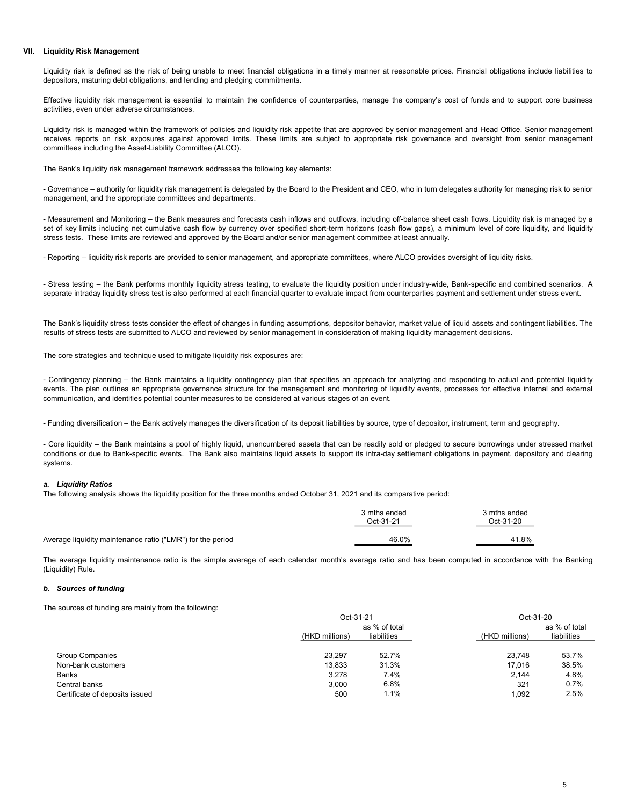### VII. Liquidity Risk Management

Liquidity risk is defined as the risk of being unable to meet financial obligations in a timely manner at reasonable prices. Financial obligations include liabilities to depositors, maturing debt obligations, and lending and pledging commitments.

Effective liquidity risk management is essential to maintain the confidence of counterparties, manage the company's cost of funds and to support core business activities, even under adverse circumstances.

Liquidity risk is managed within the framework of policies and liquidity risk appetite that are approved by senior management and Head Office. Senior management receives reports on risk exposures against approved limits. These limits are subject to appropriate risk governance and oversight from senior management committees including the Asset-Liability Committee (ALCO).

The Bank's liquidity risk management framework addresses the following key elements:

- Governance – authority for liquidity risk management is delegated by the Board to the President and CEO, who in turn delegates authority for managing risk to senior management, and the appropriate committees and departments.

- Measurement and Monitoring – the Bank measures and forecasts cash inflows and outflows, including off-balance sheet cash flows. Liquidity risk is managed by a set of key limits including net cumulative cash flow by currency over specified short-term horizons (cash flow gaps), a minimum level of core liquidity, and liquidity stress tests. These limits are reviewed and approved by the Board and/or senior management committee at least annually.

- Reporting – liquidity risk reports are provided to senior management, and appropriate committees, where ALCO provides oversight of liquidity risks.

- Stress testing – the Bank performs monthly liquidity stress testing, to evaluate the liquidity position under industry-wide, Bank-specific and combined scenarios. A separate intraday liquidity stress test is also performed at each financial quarter to evaluate impact from counterparties payment and settlement under stress event.

The Bank's liquidity stress tests consider the effect of changes in funding assumptions, depositor behavior, market value of liquid assets and contingent liabilities. The results of stress tests are submitted to ALCO and reviewed by senior management in consideration of making liquidity management decisions.

The core strategies and technique used to mitigate liquidity risk exposures are:

- Contingency planning – the Bank maintains a liquidity contingency plan that specifies an approach for analyzing and responding to actual and potential liquidity events. The plan outlines an appropriate governance structure for the management and monitoring of liquidity events, processes for effective internal and external communication, and identifies potential counter measures to be considered at various stages of an event.

- Funding diversification – the Bank actively manages the diversification of its deposit liabilities by source, type of depositor, instrument, term and geography.

- Core liquidity – the Bank maintains a pool of highly liquid, unencumbered assets that can be readily sold or pledged to secure borrowings under stressed market conditions or due to Bank-specific events. The Bank also maintains liquid assets to support its intra-day settlement obligations in payment, depository and clearing systems.

## a. Liquidity Ratios

The following analysis shows the liquidity position for the three months ended October 31, 2021 and its comparative period:

|                                                            | 3 mths ended<br>Oct-31-21 | 3 mths ended<br>Oct-31-20 |
|------------------------------------------------------------|---------------------------|---------------------------|
| Average liquidity maintenance ratio ("LMR") for the period | 46.0%                     | 41.8%                     |

The average liquidity maintenance ratio is the simple average of each calendar month's average ratio and has been computed in accordance with the Banking (Liquidity) Rule.

### b. Sources of funding

The sources of funding are mainly from the following:

|                                | Oct-31-21      |             | Oct-31-20      |               |
|--------------------------------|----------------|-------------|----------------|---------------|
|                                | as % of total  |             |                | as % of total |
|                                | (HKD millions) | liabilities | (HKD millions) | liabilities   |
|                                |                |             |                |               |
| <b>Group Companies</b>         | 23.297         | 52.7%       | 23.748         | 53.7%         |
| Non-bank customers             | 13.833         | 31.3%       | 17.016         | 38.5%         |
| Banks                          | 3.278          | 7.4%        | 2.144          | 4.8%          |
| Central banks                  | 3.000          | 6.8%        | 321            | 0.7%          |
| Certificate of deposits issued | 500            | 1.1%        | 1.092          | 2.5%          |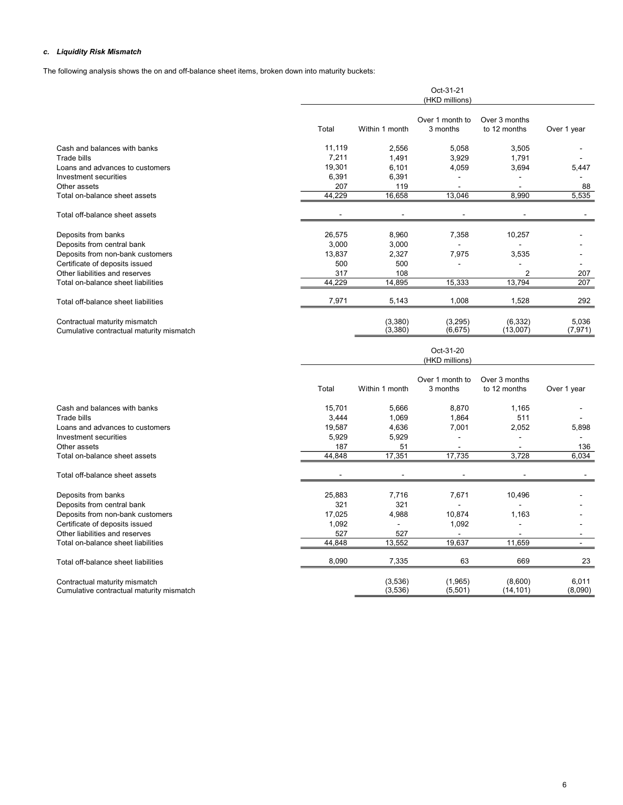## c. Liquidity Risk Mismatch

The following analysis shows the on and off-balance sheet items, broken down into maturity buckets:

|                                                                           |        |                          | Oct-31-21<br>(HKD millions) |                               |                   |
|---------------------------------------------------------------------------|--------|--------------------------|-----------------------------|-------------------------------|-------------------|
|                                                                           | Total  | Within 1 month           | Over 1 month to<br>3 months | Over 3 months<br>to 12 months | Over 1 year       |
| Cash and balances with banks                                              | 11,119 | 2,556                    | 5,058                       | 3,505                         |                   |
| Trade bills                                                               | 7,211  | 1,491                    | 3,929                       | 1,791                         |                   |
| Loans and advances to customers                                           | 19,301 | 6,101                    | 4,059                       | 3,694                         | 5,447             |
| Investment securities                                                     | 6,391  | 6,391                    |                             |                               |                   |
| Other assets                                                              | 207    | 119                      | $\blacksquare$              | $\blacksquare$                | 88                |
| Total on-balance sheet assets                                             | 44.229 | 16,658                   | 13,046                      | 8,990                         | 5,535             |
| Total off-balance sheet assets                                            |        | $\overline{\phantom{a}}$ |                             |                               |                   |
| Deposits from banks                                                       | 26,575 | 8,960                    | 7,358                       | 10,257                        |                   |
| Deposits from central bank                                                | 3,000  | 3,000                    |                             |                               |                   |
| Deposits from non-bank customers                                          | 13,837 | 2,327                    | 7,975                       | 3,535                         |                   |
| Certificate of deposits issued                                            | 500    | 500                      |                             |                               |                   |
| Other liabilities and reserves                                            | 317    | 108                      |                             | $\overline{2}$                | 207               |
| Total on-balance sheet liabilities                                        | 44,229 | 14,895                   | 15,333                      | 13,794                        | 207               |
| Total off-balance sheet liabilities                                       | 7,971  | 5,143                    | 1,008                       | 1,528                         | 292               |
| Contractual maturity mismatch<br>Cumulative contractual maturity mismatch |        | (3,380)<br>(3,380)       | (3,295)<br>(6, 675)         | (6, 332)<br>(13,007)          | 5,036<br>(7, 971) |
|                                                                           |        |                          | Oct-31-20<br>(HKD millions) |                               |                   |
|                                                                           | Total  | Within 1 month           | Over 1 month to<br>3 months | Over 3 months<br>to 12 months | Over 1 year       |
| Cash and balances with banks                                              | 15,701 | 5,666                    | 8,870                       | 1,165                         |                   |
| Trade bills                                                               | 3,444  | 1,069                    | 1,864                       | 511                           |                   |
| Loans and advances to customers                                           | 19,587 | 4,636                    | 7,001                       | 2,052                         | 5,898             |
| Investment securities                                                     | 5,929  | 5,929                    | L,                          |                               |                   |
| Other assets                                                              | 187    | 51                       | $\overline{a}$              | L.                            | 136               |
| Total on-balance sheet assets                                             | 44,848 | 17,351                   | 17,735                      | 3,728                         | 6,034             |
| Total off-balance sheet assets                                            |        |                          |                             |                               |                   |
| Deposits from banks                                                       | 25,883 | 7,716                    | 7,671                       | 10,496                        |                   |
| Deposits from central bank                                                | 321    | 321                      |                             |                               |                   |
| Deposits from non-bank customers                                          | 17,025 | 4,988                    | 10,874                      | 1,163                         |                   |
| Certificate of deposits issued                                            | 1,092  |                          | 1,092                       |                               |                   |
| Other liabilities and reserves                                            | 527    | 527                      |                             |                               |                   |
| Total on-balance sheet liabilities                                        | 44.848 | 13,552                   | 19,637                      | 11.659                        |                   |

Total off-balance sheet liabilities **8,090** 8,090 7,335 63 669 23

Contractual maturity mismatch (3,536) (1,965) (8,600) 6,011<br>Cumulative contractual maturity mismatch (3,090) (3,536) (5,501) (14,101) (8,090) Cumulative contractual maturity mismatch